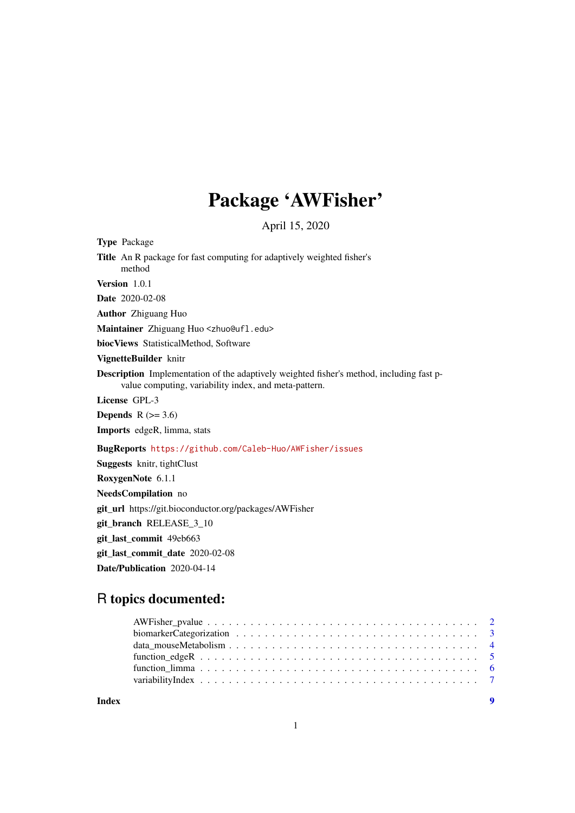# Package 'AWFisher'

April 15, 2020

Type Package

Title An R package for fast computing for adaptively weighted fisher's method

Version 1.0.1

Date 2020-02-08

Author Zhiguang Huo

Maintainer Zhiguang Huo <zhuo@ufl.edu>

biocViews StatisticalMethod, Software

VignetteBuilder knitr

Description Implementation of the adaptively weighted fisher's method, including fast pvalue computing, variability index, and meta-pattern.

License GPL-3

**Depends**  $R$  ( $>= 3.6$ )

Imports edgeR, limma, stats

BugReports <https://github.com/Caleb-Huo/AWFisher/issues>

Suggests knitr, tightClust RoxygenNote 6.1.1 NeedsCompilation no git\_url https://git.bioconductor.org/packages/AWFisher git branch RELEASE 3 10 git\_last\_commit 49eb663 git\_last\_commit\_date 2020-02-08 Date/Publication 2020-04-14

# R topics documented:

**Index** [9](#page-8-0)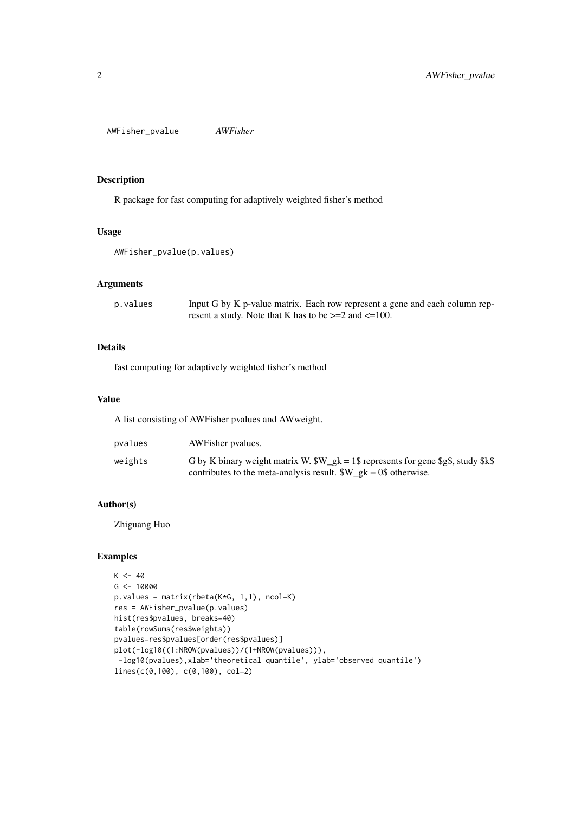<span id="page-1-0"></span>AWFisher\_pvalue *AWFisher*

#### Description

R package for fast computing for adaptively weighted fisher's method

#### Usage

```
AWFisher_pvalue(p.values)
```
#### Arguments

| p.values | Input G by K p-value matrix. Each row represent a gene and each column rep- |
|----------|-----------------------------------------------------------------------------|
|          | resent a study. Note that K has to be $>=2$ and $<=100$ .                   |

#### Details

fast computing for adaptively weighted fisher's method

#### Value

A list consisting of AWFisher pvalues and AWweight.

| pvalues | AWFisher pyalues.                                                                                                                                        |
|---------|----------------------------------------------------------------------------------------------------------------------------------------------------------|
| weights | G by K binary weight matrix W. $W_gk = 1\$ represents for gene $\S$ g $\$ , study $k\$<br>contributes to the meta-analysis result. $W_gk = 0$ otherwise. |

#### Author(s)

Zhiguang Huo

#### Examples

```
K < -40G <- 10000
p.values = matrix(rbeta(K*G, 1,1), ncol=K)
res = AWFisher_pvalue(p.values)
hist(res$pvalues, breaks=40)
table(rowSums(res$weights))
pvalues=res$pvalues[order(res$pvalues)]
plot(-log10((1:NROW(pvalues))/(1+NROW(pvalues))),
 -log10(pvalues),xlab='theoretical quantile', ylab='observed quantile')
lines(c(0,100), c(0,100), col=2)
```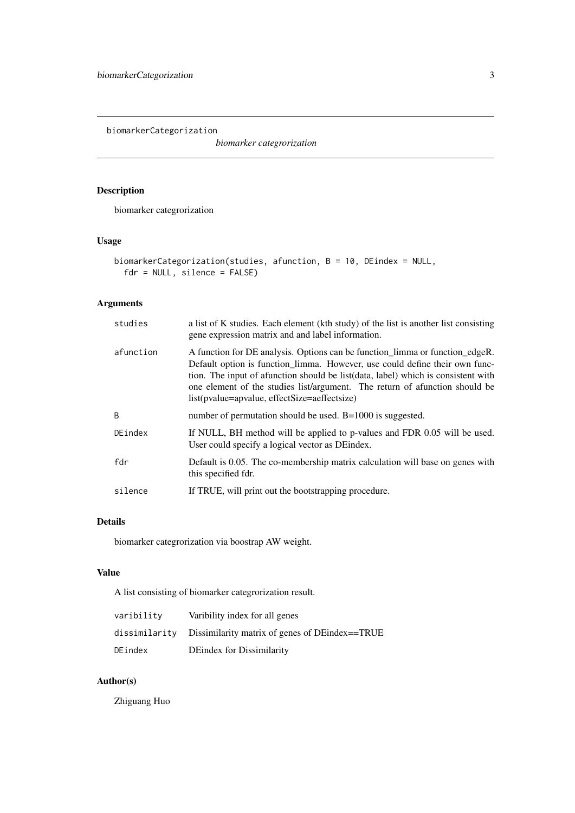<span id="page-2-0"></span>biomarkerCategorization

*biomarker categrorization*

# Description

biomarker categrorization

# Usage

```
biomarkerCategorization(studies, afunction, B = 10, DEindex = NULL,
  fdr = NULL, silence = FALSE)
```
# Arguments

| studies   | a list of K studies. Each element (kth study) of the list is another list consisting<br>gene expression matrix and and label information.                                                                                                                                                                                                                                         |
|-----------|-----------------------------------------------------------------------------------------------------------------------------------------------------------------------------------------------------------------------------------------------------------------------------------------------------------------------------------------------------------------------------------|
| afunction | A function for DE analysis. Options can be function_limma or function_edgeR.<br>Default option is function_limma. However, use could define their own func-<br>tion. The input of a function should be list (data, label) which is consistent with<br>one element of the studies list/argument. The return of afunction should be<br>list(pvalue=apvalue, effectSize=aeffectsize) |
| B         | number of permutation should be used. $B=1000$ is suggested.                                                                                                                                                                                                                                                                                                                      |
| DEindex   | If NULL, BH method will be applied to p-values and FDR 0.05 will be used.<br>User could specify a logical vector as DE index.                                                                                                                                                                                                                                                     |
| fdr       | Default is 0.05. The co-membership matrix calculation will base on genes with<br>this specified fdr.                                                                                                                                                                                                                                                                              |
| silence   | If TRUE, will print out the bootstrapping procedure.                                                                                                                                                                                                                                                                                                                              |

### Details

biomarker categrorization via boostrap AW weight.

#### Value

A list consisting of biomarker categrorization result.

| varibility    | Varibility index for all genes                 |
|---------------|------------------------------------------------|
| dissimilarity | Dissimilarity matrix of genes of DEindex==TRUE |
| DEindex       | DE index for Dissimilarity                     |

# Author(s)

Zhiguang Huo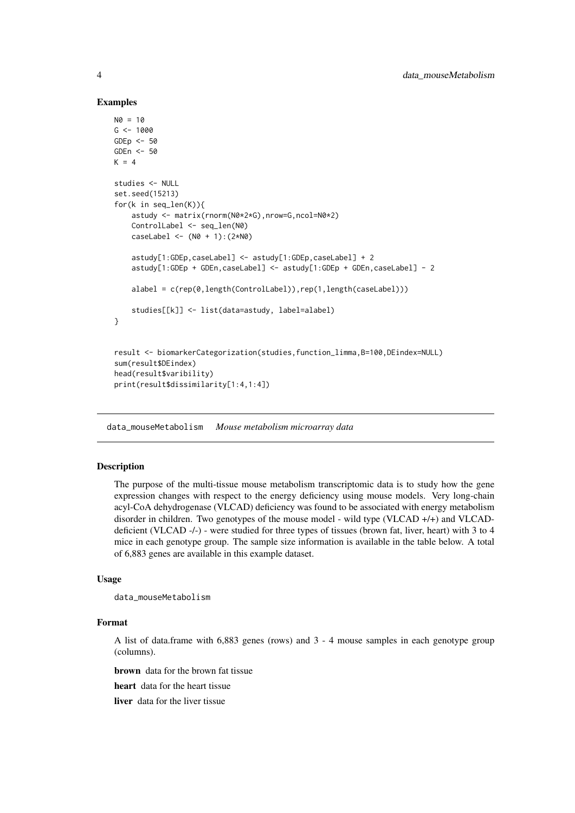#### Examples

```
NØ = 10G <- 1000
GDEp \leftarrow 50GDEn <- 50
K = 4studies <- NULL
set.seed(15213)
for(k in seq_len(K)){
    astudy <- matrix(rnorm(N0*2*G),nrow=G,ncol=N0*2)
    ControlLabel <- seq_len(N0)
    caseLabel < - (N0 + 1):(2*N0)astudy[1:GDEp,caseLabel] <- astudy[1:GDEp,caseLabel] + 2
    astudy[1:GDEp + GDEn,caseLabel] <- astudy[1:GDEp + GDEn,caseLabel] - 2
    alabel = c(rep(0,length(ControlLabel)),rep(1,length(caseLabel)))
    studies[[k]] <- list(data=astudy, label=alabel)
}
result <- biomarkerCategorization(studies,function_limma,B=100,DEindex=NULL)
sum(result$DEindex)
head(result$varibility)
print(result$dissimilarity[1:4,1:4])
```
data\_mouseMetabolism *Mouse metabolism microarray data*

#### **Description**

The purpose of the multi-tissue mouse metabolism transcriptomic data is to study how the gene expression changes with respect to the energy deficiency using mouse models. Very long-chain acyl-CoA dehydrogenase (VLCAD) deficiency was found to be associated with energy metabolism disorder in children. Two genotypes of the mouse model - wild type (VLCAD +/+) and VLCADdeficient (VLCAD -/-) - were studied for three types of tissues (brown fat, liver, heart) with 3 to 4 mice in each genotype group. The sample size information is available in the table below. A total of 6,883 genes are available in this example dataset.

#### Usage

```
data_mouseMetabolism
```
#### Format

A list of data.frame with 6,883 genes (rows) and 3 - 4 mouse samples in each genotype group (columns).

brown data for the brown fat tissue

heart data for the heart tissue

liver data for the liver tissue

<span id="page-3-0"></span>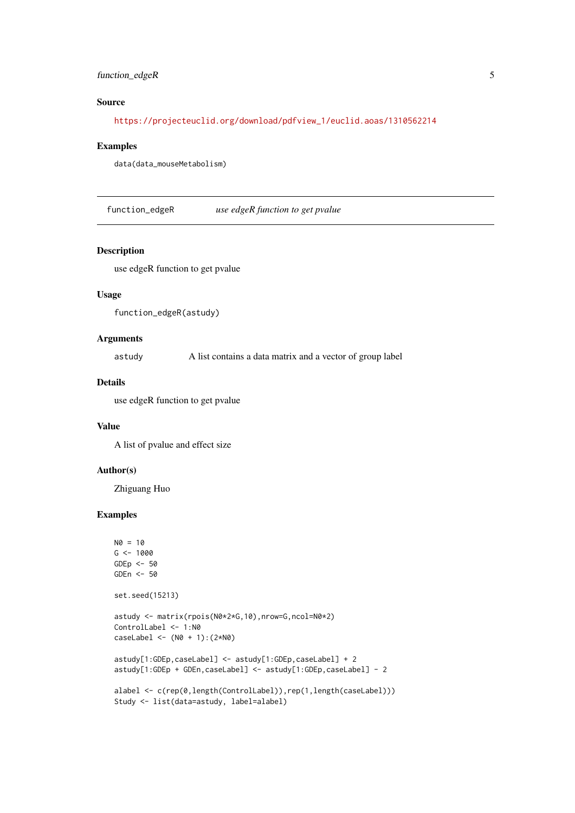#### <span id="page-4-0"></span>function\_edgeR 5

#### Source

[https://projecteuclid.org/download/pdfview\\_1/euclid.aoas/1310562214](https://projecteuclid.org/download/pdfview_1/euclid.aoas/1310562214)

#### Examples

data(data\_mouseMetabolism)

function\_edgeR *use edgeR function to get pvalue*

#### Description

use edgeR function to get pvalue

#### Usage

```
function_edgeR(astudy)
```
#### Arguments

astudy A list contains a data matrix and a vector of group label

#### Details

use edgeR function to get pvalue

#### Value

A list of pvalue and effect size

#### Author(s)

Zhiguang Huo

#### Examples

```
N0 = 10G <- 1000
GDEp <-50GDEn <- 50
set.seed(15213)
astudy <- matrix(rpois(N0*2*G,10),nrow=G,ncol=N0*2)
ControlLabel <- 1:N0
caseLabel <- (N0 + 1):(2*N0)
astudy[1:GDEp,caseLabel] <- astudy[1:GDEp,caseLabel] + 2
astudy[1:GDEp + GDEn,caseLabel] <- astudy[1:GDEp,caseLabel] - 2
alabel <- c(rep(0,length(ControlLabel)),rep(1,length(caseLabel)))
Study <- list(data=astudy, label=alabel)
```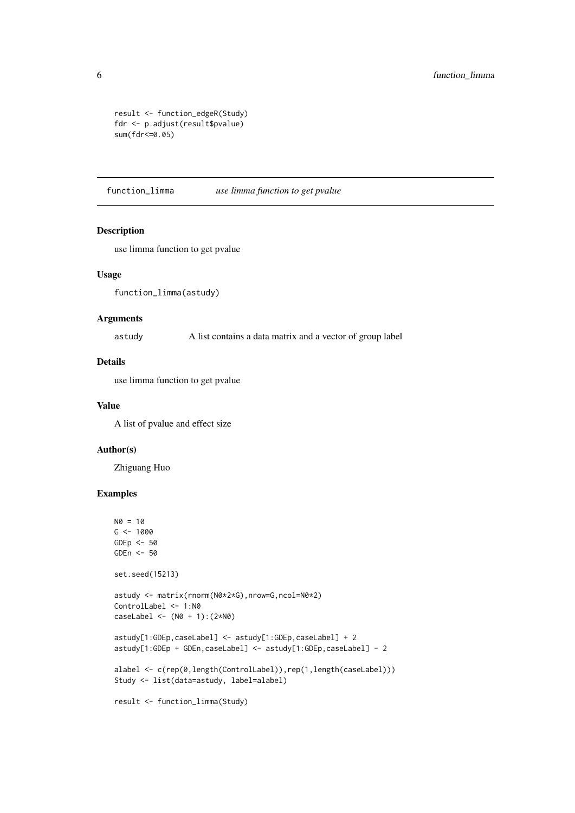```
result <- function_edgeR(Study)
fdr <- p.adjust(result$pvalue)
sum(fdr<=0.05)
```
function\_limma *use limma function to get pvalue*

#### Description

use limma function to get pvalue

#### Usage

function\_limma(astudy)

#### Arguments

astudy A list contains a data matrix and a vector of group label

#### Details

use limma function to get pvalue

#### Value

A list of pvalue and effect size

#### Author(s)

Zhiguang Huo

#### Examples

```
N0 = 10G <- 1000
GDEp <-50GDEn <- 50
set.seed(15213)
astudy <- matrix(rnorm(N0*2*G),nrow=G,ncol=N0*2)
ControlLabel <- 1:N0
caseLabel <- (N0 + 1):(2*N0)
astudy[1:GDEp,caseLabel] <- astudy[1:GDEp,caseLabel] + 2
astudy[1:GDEp + GDEn,caseLabel] <- astudy[1:GDEp,caseLabel] - 2
alabel <- c(rep(0,length(ControlLabel)),rep(1,length(caseLabel)))
Study <- list(data=astudy, label=alabel)
result <- function_limma(Study)
```
<span id="page-5-0"></span>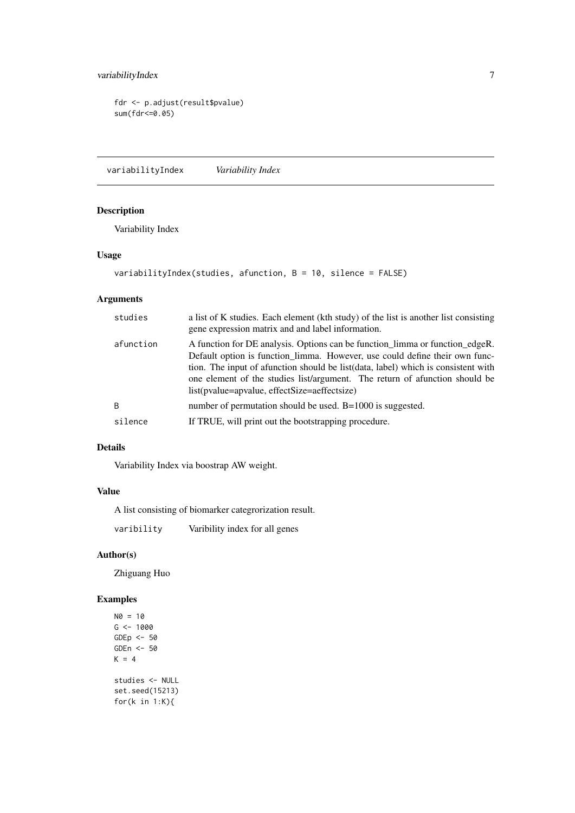```
fdr <- p.adjust(result$pvalue)
sum(fdr<=0.05)
```
variabilityIndex *Variability Index*

#### Description

Variability Index

#### Usage

```
variabilityIndex(studies, afunction, B = 10, silence = FALSE)
```
#### Arguments

| studies        | a list of K studies. Each element (kth study) of the list is another list consisting<br>gene expression matrix and and label information.                                                                                                                                                                                                                                       |
|----------------|---------------------------------------------------------------------------------------------------------------------------------------------------------------------------------------------------------------------------------------------------------------------------------------------------------------------------------------------------------------------------------|
| afunction      | A function for DE analysis. Options can be function_limma or function_edgeR.<br>Default option is function limma. However, use could define their own func-<br>tion. The input of afunction should be list(data, label) which is consistent with<br>one element of the studies list/argument. The return of afunction should be<br>list(pvalue=apvalue, effectSize=aeffectsize) |
| $\overline{B}$ | number of permutation should be used. $B=1000$ is suggested.                                                                                                                                                                                                                                                                                                                    |
| silence        | If TRUE, will print out the bootstrapping procedure.                                                                                                                                                                                                                                                                                                                            |

#### Details

Variability Index via boostrap AW weight.

#### Value

A list consisting of biomarker categrorization result.

varibility Varibility index for all genes

#### Author(s)

Zhiguang Huo

#### Examples

 $NØ = 10$  $G$  <- 1000 GDEp <- 50 GDEn <- 50  $K = 4$ studies <- NULL set.seed(15213) for(k in 1:K){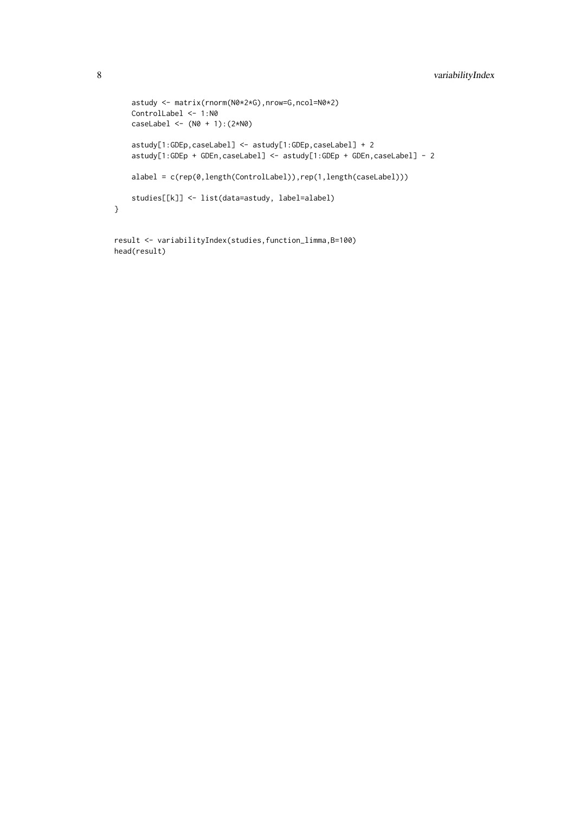```
astudy <- matrix(rnorm(N0*2*G),nrow=G,ncol=N0*2)
    ControlLabel <- 1:N0
    caseLabel < - (N0 + 1):(2*N0)astudy[1:GDEp,caseLabel] <- astudy[1:GDEp,caseLabel] + 2
    astudy[1:GDEp + GDEn,caseLabel] <- astudy[1:GDEp + GDEn,caseLabel] - 2
    alabel = c(rep(0,length(ControlLabel)),rep(1,length(caseLabel)))
    studies[[k]] <- list(data=astudy, label=alabel)
}
```

```
result <- variabilityIndex(studies,function_limma,B=100)
head(result)
```